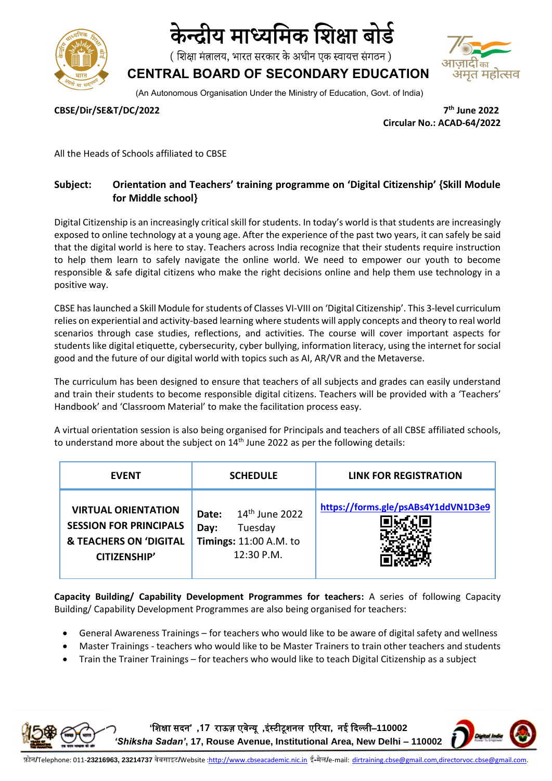

# केन्दीय माध्यमिक शिक्षा बोर्ड

(शिक्षा मंत्रालय, भारत सरकार के अधीन एक स्वायत्त संगठन)

**CENTRAL BOARD OF SECONDARY EDUCATION** (An Autonomous Organisation Under the Ministry of Education, Govt. of India)

**CBSE/Dir/SE&T/DC/2022 7**

**th June 2022 Circular No.: ACAD-64/2022**

All the Heads of Schools affiliated to CBSE

### **Subject: Orientation and Teachers' training programme on 'Digital Citizenship' {Skill Module for Middle school}**

Digital Citizenship is an increasingly critical skill for students. In today's world is that students are increasingly exposed to online technology at a young age. After the experience of the past two years, it can safely be said that the digital world is here to stay. Teachers across India recognize that their students require instruction to help them learn to safely navigate the online world. We need to empower our youth to become responsible & safe digital citizens who make the right decisions online and help them use technology in a positive way.

CBSE has launched a Skill Module for students of Classes VI-VIII on 'Digital Citizenship'. This 3-level curriculum relies on experiential and activity-based learning where students will apply concepts and theory to real world scenarios through case studies, reflections, and activities. The course will cover important aspects for students like digital etiquette, cybersecurity, cyber bullying, information literacy, using the internet for social good and the future of our digital world with topics such as AI, AR/VR and the Metaverse.

The curriculum has been designed to ensure that teachers of all subjects and grades can easily understand and train their students to become responsible digital citizens. Teachers will be provided with a 'Teachers' Handbook' and 'Classroom Material' to make the facilitation process easy.

A virtual orientation session is also being organised for Principals and teachers of all CBSE affiliated schools, to understand more about the subject on  $14<sup>th</sup>$  June 2022 as per the following details:

| <b>EVENT</b>                                                                                                            | <b>SCHEDULE</b>                                                                             | <b>LINK FOR REGISTRATION</b>        |
|-------------------------------------------------------------------------------------------------------------------------|---------------------------------------------------------------------------------------------|-------------------------------------|
| <b>VIRTUAL ORIENTATION</b><br><b>SESSION FOR PRINCIPALS</b><br><b>&amp; TEACHERS ON 'DIGITAL</b><br><b>CITIZENSHIP'</b> | $14th$ June 2022<br>Date:<br>Tuesday<br>Day:<br><b>Timings: 11:00 A.M. to</b><br>12:30 P.M. | https://forms.gle/psABs4Y1ddVN1D3e9 |

**Capacity Building/ Capability Development Programmes for teachers:** A series of following Capacity Building/ Capability Development Programmes are also being organised for teachers:

- General Awareness Trainings for teachers who would like to be aware of digital safety and wellness
- Master Trainings teachers who would like to be Master Trainers to train other teachers and students
- Train the Trainer Trainings for teachers who would like to teach Digital Citizenship as a subject

**'**शिक्षा सदन**' ,17** राऊज़ एवेन्यू **,**इंस्टीटूिनल एररया**,** नई ददल्ली–**110002** 

*'Shiksha Sadan'***, 17, Rouse Avenue, Institutional Area, New Delhi – 110002**

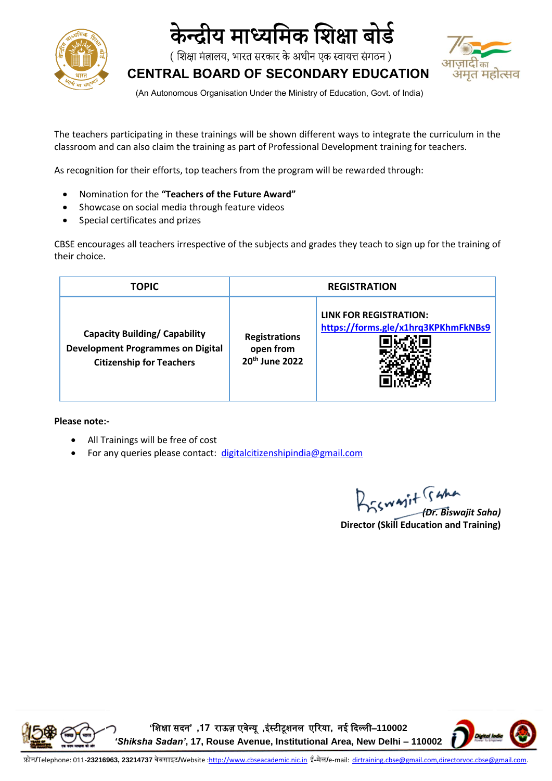

## केन्दीय माध्यमिक शिक्षा बोर्ड

( शिक्षा मंत्रालय, भारत सरकार के अधीन एक स्वायत्त संगठन )



**CENTRAL BOARD OF SECONDARY EDUCATION**

(An Autonomous Organisation Under the Ministry of Education, Govt. of India)

The teachers participating in these trainings will be shown different ways to integrate the curriculum in the classroom and can also claim the training as part of Professional Development training for teachers.

As recognition for their efforts, top teachers from the program will be rewarded through:

- Nomination for the **"Teachers of the Future Award"**
- Showcase on social media through feature videos
- Special certificates and prizes

CBSE encourages all teachers irrespective of the subjects and grades they teach to sign up for the training of their choice.

| <b>TOPIC</b>                                                                                                        | <b>REGISTRATION</b>                                             |                                                                      |
|---------------------------------------------------------------------------------------------------------------------|-----------------------------------------------------------------|----------------------------------------------------------------------|
| <b>Capacity Building/ Capability</b><br><b>Development Programmes on Digital</b><br><b>Citizenship for Teachers</b> | <b>Registrations</b><br>open from<br>20 <sup>th</sup> June 2022 | <b>LINK FOR REGISTRATION:</b><br>https://forms.gle/x1hrq3KPKhmFkNBs9 |

**Please note:-**

- All Trainings will be free of cost
- For any queries please contact: [digitalcitizenshipindia@gmail.com](mailto:digitalcitizenshipindia@gmail.com)

*(Dr. Biswajit Saha)* **Director (Skill Education and Training)**